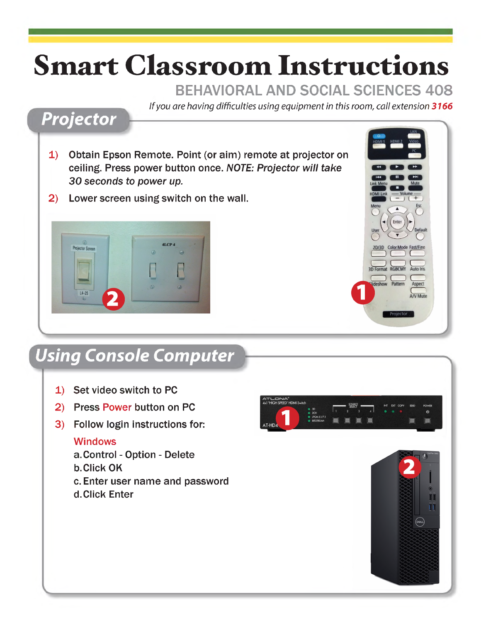# **Smart Classroom Instructions**

#### BEHAVIORAL AND SOCIAL SCIENCES 408

*If you are having difficulties using equipment in this room, call extension 3166*

### *Projector*

- 1) Obtain Epson Remote. Point (or aim) remote at projector on ceiling. Press power button once. *NOTE: Projector will take 30 seconds to power up.*
- 2) Lower screen using switch on the wall.



# *Using Console Computer*

- 1) Set video switch to PC
- 2) Press Power button on PC
- 3) Follow login instructions for:

#### **Windows**

- a. Control Option Delete
- b. Click OK
- c. Enter user name and password d. Click Enter



3D Forma lideshow

Pattern

Aspect

A/V Mute

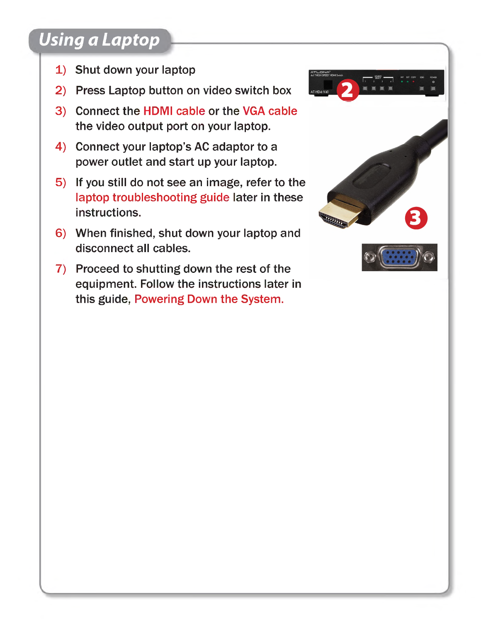# *Using a Laptop*

- 1) Shut down your laptop
- 2) Press Laptop button on video switch box
- 3) Connect the HDMI cable or the VGA cable the video output port on your laptop.
- 4) Connect your laptop's AC adaptor to a power outlet and start up your laptop.
- 5) If you still do not see an image, refer to the laptop troubleshooting guide later in these instructions.
- 6) When finished, shut down your laptop and disconnect all cables.
- 7) Proceed to shutting down the rest of the equipment. Follow the instructions later in this guide, Powering Down the System.



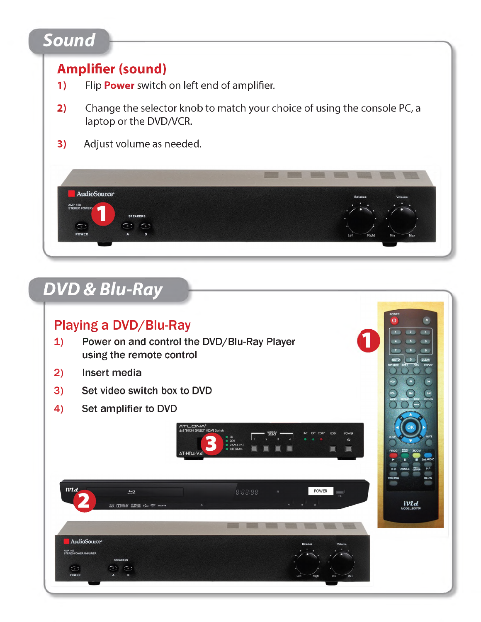# *Sound*

#### **Amplifier(sound)**

- **1)** Flip **Power** switch on left end of amplifier.
- **2)** Change the selector knob to match your choice of using the console PC, a laptop or the DVD/VCR.
- **3)** Adjust volume as needed.



# *DVD & Blu-Ray*